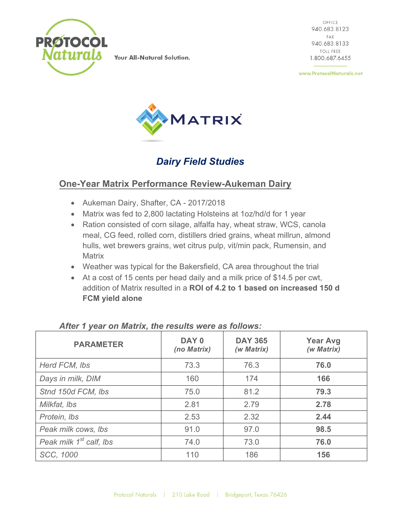

Your All-Natural Solution.

OFFICE 940.683.8123 FAX 940.683.8133 TOLL FREE 1.800.687.6455

www.ProtocolNaturals.net



# *Dairy Field Studies*

#### **One-Year Matrix Performance Review-Aukeman Dairy**

- Aukeman Dairy, Shafter, CA 2017/2018
- Matrix was fed to 2,800 lactating Holsteins at 1oz/hd/d for 1 year
- Ration consisted of corn silage, alfalfa hay, wheat straw, WCS, canola meal, CG feed, rolled corn, distillers dried grains, wheat millrun, almond hulls, wet brewers grains, wet citrus pulp, vit/min pack, Rumensin, and **Matrix**
- Weather was typical for the Bakersfield, CA area throughout the trial
- At a cost of 15 cents per head daily and a milk price of \$14.5 per cwt, addition of Matrix resulted in a **ROI of 4.2 to 1 based on increased 150 d FCM yield alone**

| <b>PARAMETER</b>                    | DAY 0<br>(no Matrix) | <b>DAY 365</b><br>(w Matrix) | <b>Year Avg</b><br>(w Matrix) |
|-------------------------------------|----------------------|------------------------------|-------------------------------|
| Herd FCM, Ibs                       | 73.3                 | 76.3                         | 76.0                          |
| Days in milk, DIM                   | 160                  | 174                          | 166                           |
| Stnd 150d FCM, Ibs                  | 75.0                 | 81.2                         | 79.3                          |
| Milkfat, Ibs                        | 2.81                 | 2.79                         | 2.78                          |
| Protein, Ibs                        | 2.53                 | 2.32                         | 2.44                          |
| Peak milk cows, Ibs                 | 91.0                 | 97.0                         | 98.5                          |
| Peak milk 1 <sup>st</sup> calf, lbs | 74.0                 | 73.0                         | 76.0                          |
| SCC, 1000                           | 110                  | 186                          | 156                           |

*After 1 year on Matrix, the results were as follows:*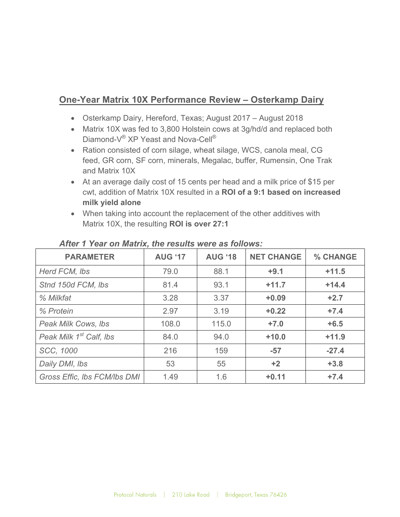# **One-Year Matrix 10X Performance Review – Osterkamp Dairy**

- Osterkamp Dairy, Hereford, Texas; August 2017 August 2018
- Matrix 10X was fed to 3,800 Holstein cows at 3g/hd/d and replaced both Diamond-V<sup>®</sup> XP Yeast and Nova-Cell<sup>®</sup>
- Ration consisted of corn silage, wheat silage, WCS, canola meal, CG feed, GR corn, SF corn, minerals, Megalac, buffer, Rumensin, One Trak and Matrix 10X
- At an average daily cost of 15 cents per head and a milk price of \$15 per cwt, addition of Matrix 10X resulted in a **ROI of a 9:1 based on increased milk yield alone**
- When taking into account the replacement of the other additives with Matrix 10X, the resulting **ROI is over 27:1**

| <b>PARAMETER</b>                    | <b>AUG '17</b> | <b>AUG '18</b> | <b>NET CHANGE</b> | % CHANGE |
|-------------------------------------|----------------|----------------|-------------------|----------|
| Herd FCM, Ibs                       | 79.0           | 88.1           | $+9.1$            | $+11.5$  |
| Stnd 150d FCM, Ibs                  | 81.4           | 93.1           | $+11.7$           | $+14.4$  |
| % Milkfat                           | 3.28           | 3.37           | $+0.09$           | $+2.7$   |
| % Protein                           | 2.97           | 3.19           | $+0.22$           | $+7.4$   |
| Peak Milk Cows, Ibs                 | 108.0          | 115.0          | $+7.0$            | $+6.5$   |
| Peak Milk 1 <sup>st</sup> Calf, Ibs | 84.0           | 94.0           | $+10.0$           | $+11.9$  |
| SCC, 1000                           | 216            | 159            | $-57$             | $-27.4$  |
| Daily DMI, Ibs                      | 53             | 55             | $+2$              | $+3.8$   |
| Gross Effic, Ibs FCM/Ibs DMI        | 1.49           | 1.6            | $+0.11$           | $+7.4$   |

#### *After 1 Year on Matrix, the results were as follows:*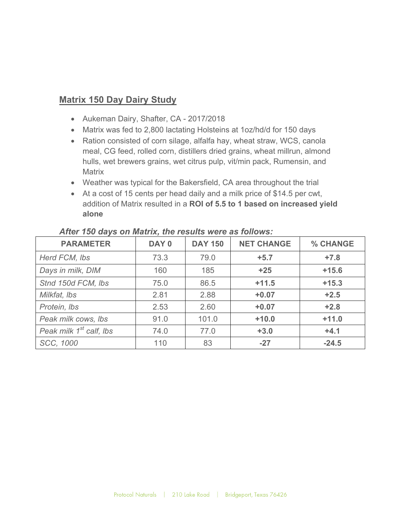## **Matrix 150 Day Dairy Study**

- Aukeman Dairy, Shafter, CA 2017/2018
- Matrix was fed to 2,800 lactating Holsteins at 1oz/hd/d for 150 days
- Ration consisted of corn silage, alfalfa hay, wheat straw, WCS, canola meal, CG feed, rolled corn, distillers dried grains, wheat millrun, almond hulls, wet brewers grains, wet citrus pulp, vit/min pack, Rumensin, and **Matrix**
- Weather was typical for the Bakersfield, CA area throughout the trial
- At a cost of 15 cents per head daily and a milk price of \$14.5 per cwt, addition of Matrix resulted in a **ROI of 5.5 to 1 based on increased yield alone**

| <b>PARAMETER</b>                    | DAY 0 | <b>DAY 150</b> | <b>NET CHANGE</b> | % CHANGE |
|-------------------------------------|-------|----------------|-------------------|----------|
| Herd FCM, Ibs                       | 73.3  | 79.0           | $+5.7$            | $+7.8$   |
| Days in milk, DIM                   | 160   | 185            | $+25$             | $+15.6$  |
| Stnd 150d FCM, Ibs                  | 75.0  | 86.5           | $+11.5$           | $+15.3$  |
| Milkfat, Ibs                        | 2.81  | 2.88           | $+0.07$           | $+2.5$   |
| Protein, Ibs                        | 2.53  | 2.60           | $+0.07$           | $+2.8$   |
| Peak milk cows, lbs                 | 91.0  | 101.0          | $+10.0$           | $+11.0$  |
| Peak milk 1 <sup>st</sup> calf, lbs | 74.0  | 77.0           | $+3.0$            | $+4.1$   |
| SCC, 1000                           | 110   | 83             | $-27$             | $-24.5$  |

#### *After 150 days on Matrix, the results were as follows:*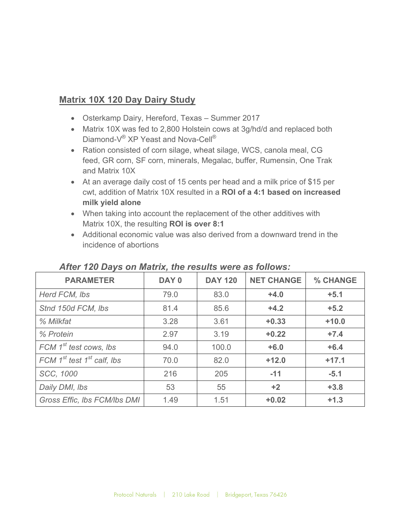## **Matrix 10X 120 Day Dairy Study**

- Osterkamp Dairy, Hereford, Texas Summer 2017
- Matrix 10X was fed to 2,800 Holstein cows at 3g/hd/d and replaced both Diamond-V<sup>®</sup> XP Yeast and Nova-Cell<sup>®</sup>
- Ration consisted of corn silage, wheat silage, WCS, canola meal, CG feed, GR corn, SF corn, minerals, Megalac, buffer, Rumensin, One Trak and Matrix 10X
- At an average daily cost of 15 cents per head and a milk price of \$15 per cwt, addition of Matrix 10X resulted in a **ROI of a 4:1 based on increased milk yield alone**
- When taking into account the replacement of the other additives with Matrix 10X, the resulting **ROI is over 8:1**
- Additional economic value was also derived from a downward trend in the incidence of abortions

| ARCE TED DUYS ON MUUTA, UIC TOSURS WORD US TONOWS. |       |                |                   |          |
|----------------------------------------------------|-------|----------------|-------------------|----------|
| <b>PARAMETER</b>                                   | DAY 0 | <b>DAY 120</b> | <b>NET CHANGE</b> | % CHANGE |
| Herd FCM, Ibs                                      | 79.0  | 83.0           | $+4.0$            | $+5.1$   |
| Stnd 150d FCM, Ibs                                 | 81.4  | 85.6           | $+4.2$            | $+5.2$   |
| % Milkfat                                          | 3.28  | 3.61           | $+0.33$           | $+10.0$  |
| % Protein                                          | 2.97  | 3.19           | $+0.22$           | $+7.4$   |
| FCM 1 <sup>st</sup> test cows, lbs                 | 94.0  | 100.0          | $+6.0$            | $+6.4$   |
| FCM $1^{st}$ test $1^{st}$ calf, lbs               | 70.0  | 82.0           | $+12.0$           | $+17.1$  |
| SCC, 1000                                          | 216   | 205            | $-11$             | $-5.1$   |
| Daily DMI, Ibs                                     | 53    | 55             | $+2$              | $+3.8$   |
| Gross Effic, Ibs FCM/Ibs DMI                       | 1.49  | 1.51           | $+0.02$           | $+1.3$   |

#### *After 120 Days on Matrix, the results were as follows:*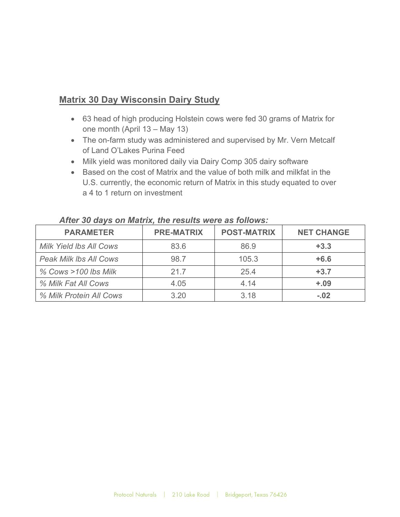#### **Matrix 30 Day Wisconsin Dairy Study**

- 63 head of high producing Holstein cows were fed 30 grams of Matrix for one month (April 13 – May 13)
- The on-farm study was administered and supervised by Mr. Vern Metcalf of Land O'Lakes Purina Feed
- Milk yield was monitored daily via Dairy Comp 305 dairy software
- Based on the cost of Matrix and the value of both milk and milkfat in the U.S. currently, the economic return of Matrix in this study equated to over a 4 to 1 return on investment

| <b>PARAMETER</b>               | <b>PRE-MATRIX</b> | <b>POST-MATRIX</b> | <b>NET CHANGE</b> |  |
|--------------------------------|-------------------|--------------------|-------------------|--|
| <b>Milk Yield Ibs All Cows</b> | 83.6              | 86.9               | $+3.3$            |  |
| <b>Peak Milk Ibs All Cows</b>  | 98.7              | 105.3              | $+6.6$            |  |
| % Cows >100 lbs Milk           | 21.7              | 25.4               | $+3.7$            |  |
| % Milk Fat All Cows            | 4.05              | 4.14               | $+.09$            |  |
| % Milk Protein All Cows        | 3.20              | 3.18               | $-.02$            |  |

#### *After 30 days on Matrix, the results were as follows:*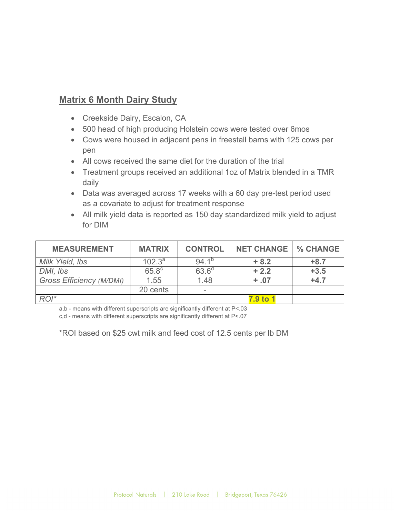## **Matrix 6 Month Dairy Study**

- Creekside Dairy, Escalon, CA
- 500 head of high producing Holstein cows were tested over 6mos
- Cows were housed in adjacent pens in freestall barns with 125 cows per pen
- All cows received the same diet for the duration of the trial
- Treatment groups received an additional 1oz of Matrix blended in a TMR daily
- Data was averaged across 17 weeks with a 60 day pre-test period used as a covariate to adjust for treatment response
- All milk yield data is reported as 150 day standardized milk yield to adjust for DIM

| <b>MEASUREMENT</b>              | <b>MATRIX</b>  | <b>CONTROL</b>    | <b>NET CHANGE</b> | <b>% CHANGE</b> |
|---------------------------------|----------------|-------------------|-------------------|-----------------|
| Milk Yield, Ibs                 | $102.3^a$      | $94.1^{p}$        | $+8.2$            | $+8.7$          |
| DMI, Ibs                        | $65.8^{\circ}$ | 63.6 <sup>d</sup> | $+2.2$            | $+3.5$          |
| <b>Gross Efficiency (M/DMI)</b> | 1.55           | 1.48              | $+ .07$           | $+4.7$          |
|                                 | 20 cents       |                   |                   |                 |
| $ROI*$                          |                |                   | 7.9 to            |                 |

a,b - means with different superscripts are significantly different at P<.03

c,d - means with different superscripts are significantly different at P<.07

\*ROI based on \$25 cwt milk and feed cost of 12.5 cents per lb DM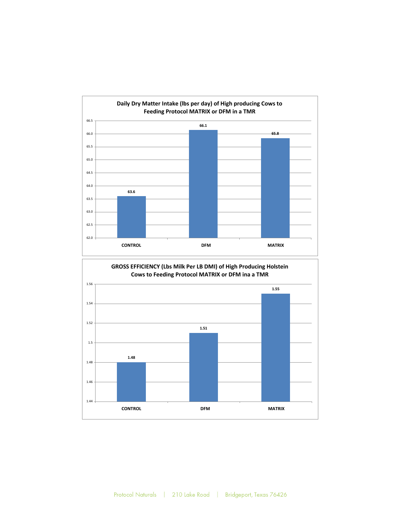